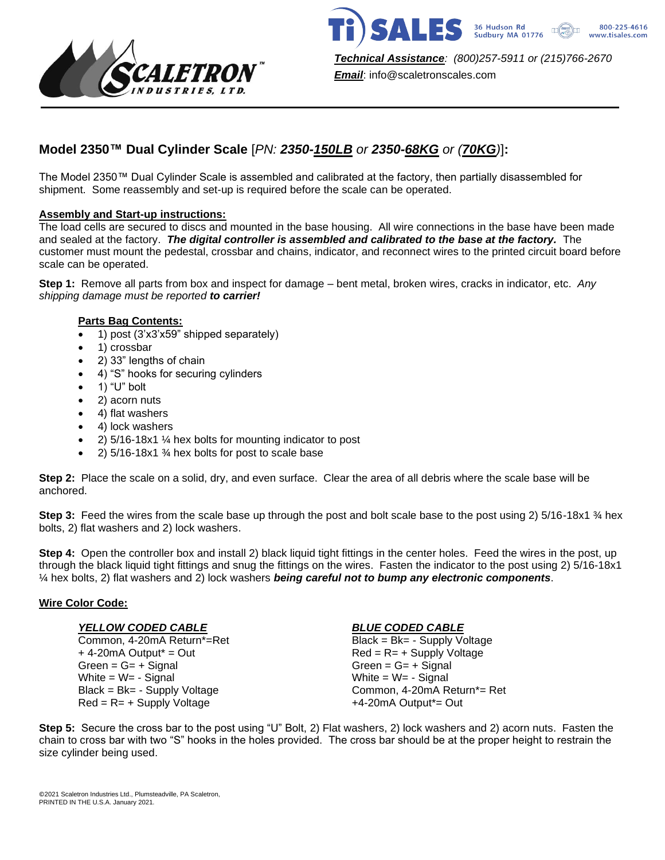



*Email*: info@scaletronscales.com

# **Model 2350™ Dual Cylinder Scale** [*PN: 2350-150LB or 2350-68KG or (70KG)*]**:**

The Model 2350™ Dual Cylinder Scale is assembled and calibrated at the factory, then partially disassembled for shipment. Some reassembly and set-up is required before the scale can be operated.

# **Assembly and Start-up instructions:**

The load cells are secured to discs and mounted in the base housing. All wire connections in the base have been made and sealed at the factory. *The digital controller is assembled and calibrated to the base at the factory.* The customer must mount the pedestal, crossbar and chains, indicator, and reconnect wires to the printed circuit board before scale can be operated.

**Step 1:** Remove all parts from box and inspect for damage – bent metal, broken wires, cracks in indicator, etc. *Any shipping damage must be reported to carrier!*

# **Parts Bag Contents:**

- 1) post (3'x3'x59" shipped separately)
- 1) crossbar
- 2) 33" lengths of chain
- 4) "S" hooks for securing cylinders
- 1) "U" bolt
- 2) acorn nuts
- 4) flat washers
- 4) lock washers
- 2) 5/16-18x1 ¼ hex bolts for mounting indicator to post
- 2)  $5/16-18x1 \frac{3}{4}$  hex bolts for post to scale base

**Step 2:** Place the scale on a solid, dry, and even surface. Clear the area of all debris where the scale base will be anchored.

**Step 3:** Feed the wires from the scale base up through the post and bolt scale base to the post using 2) 5/16-18x1 ¾ hex bolts, 2) flat washers and 2) lock washers.

**Step 4:** Open the controller box and install 2) black liquid tight fittings in the center holes. Feed the wires in the post, up through the black liquid tight fittings and snug the fittings on the wires. Fasten the indicator to the post using 2) 5/16-18x1 ¼ hex bolts, 2) flat washers and 2) lock washers *being careful not to bump any electronic components*.

### **Wire Color Code:**

Common, 4-20mA Return\*=Ret + 4-20mA Output\* = Out Red = R= + Supply Voltage Green = G= + Signal Green = G= + Signal White  $= W = -$  Signal White  $= W = -$  Signal  $Red = R = +$  Supply Voltage  $+4-20$ mA Output<sup>\*</sup>= Out

*YELLOW CODED CABLE BLUE CODED CABLE* Black = Bk= - Supply Voltage Common, 4-20mA Return\*= Ret

**Step 5:** Secure the cross bar to the post using "U" Bolt, 2) Flat washers, 2) lock washers and 2) acorn nuts. Fasten the chain to cross bar with two "S" hooks in the holes provided. The cross bar should be at the proper height to restrain the size cylinder being used.